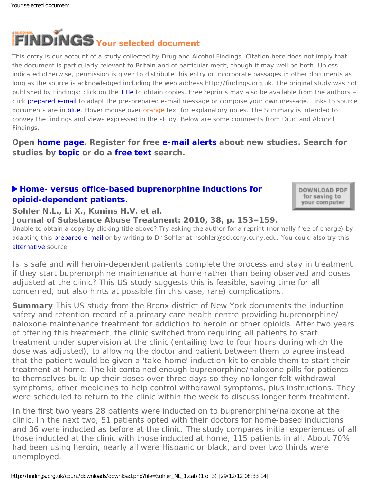<span id="page-0-0"></span>

This entry is our account of a study collected by Drug and Alcohol Findings. Citation here does not imply that the document is particularly relevant to Britain and of particular merit, though it may well be both. Unless indicated otherwise, permission is given to distribute this entry or incorporate passages in other documents as long as the source is acknowledged including the web address http://findings.org.uk. The original study was not published by Findings; click on the Title to obtain copies. Free reprints may also be available from the authors – click prepared e-mail to adapt the pre-prepared e-mail message or compose your own message. Links to source documents are in blue. Hover mouse over orange text for explanatory notes. The Summary is intended to convey the findings and views expressed in the study. Below are some comments from Drug and Alcohol Findings.

**Open [home page](https://findings.org.uk/index.php). Register for free [e-mail alerts](https://findings.org.uk/index.php#signUp) about new studies. Search for studies by [topic](https://findings.org.uk/topic_search.htm) or do a [free text](https://findings.org.uk/free_search.htm) search.**

# **[Home- versus office-based buprenorphine inductions for](http://dx.doi.org/10.1016/j.jsat.2009.08.001)  [opioid-dependent patients.](http://dx.doi.org/10.1016/j.jsat.2009.08.001)**

DOWNLOAD PDF for saving to your computer

**Sohler N.L., Li X., Kunins H.V. et al.**

**Journal of Substance Abuse Treatment: 2010, 38, p. 153–159.**

Unable to obtain a copy by clicking title above? Try asking the author for a reprint (normally free of charge) by adapting this [prepared e-mail](mailto:nsohler@sci.ccny.cuny.edu?Subject=Reprint%20request&body=Dear Dr Sohler%0A%0AOn the Drug and Alcohol Findings web site (https://findings.org.uk) I read about your article:%0ASohler N.L., Li X., Kunins H.V. et al. Home- versus office-based buprenorphine inductions for opioid-dependent patients. Journal of Substance Abuse Treatment: 2010, 38, p. 153-159.%0A%0AWould it be possible to for me to be sent a PDF reprint or the manuscript by replying to this e-mail?%0A) or by writing to Dr Sohler at nsohler@sci.ccny.cuny.edu. You could also try this [alternative](http://europepmc.org/articles/PMC2849656) source.

*Is is safe and will heroin-dependent patients complete the process and stay in treatment if they start buprenorphine maintenance at home rather than being observed and doses adjusted at the clinic? This US study suggests this is feasible, saving time for all concerned, but also hints at possible (in this case, rare) complications.*

**Summary** This US study from the Bronx district of New York documents the induction safety and retention record of a primary care health centre providing buprenorphine/ naloxone maintenance treatment for addiction to heroin or other opioids. After two years of offering this treatment, the clinic switched from requiring all patients to start treatment under supervision at the clinic (entailing two to four hours during which the dose was adjusted), to allowing the doctor and patient between them to agree instead that the patient would be given a 'take-home' induction kit to enable them to start their treatment at home. The kit contained enough buprenorphine/naloxone pills for patients to themselves build up their doses over three days so they no longer felt withdrawal symptoms, other medicines to help control withdrawal symptoms, plus instructions. They were scheduled to return to the clinic within the week to discuss longer term treatment.

In the first two years 28 patients were inducted on to buprenorphine/naloxone at the clinic. In the next two, 51 patients opted with their doctors for home-based inductions and 36 were inducted as before at the clinic. The study compares initial experiences of all those inducted at the clinic with those inducted at home, 115 patients in all. About 70% had been using heroin, nearly all were Hispanic or black, and over two thirds were unemployed.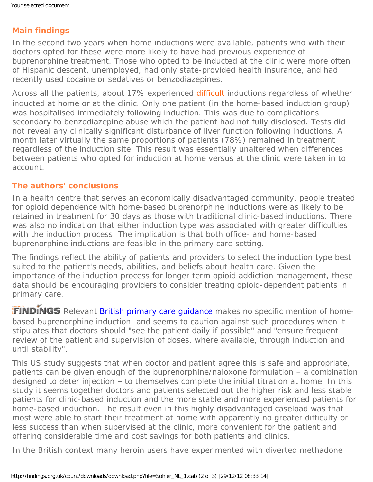# **Main findings**

In the second two years when home inductions were available, patients who with their doctors opted for these were more likely to have had previous experience of buprenorphine treatment. Those who opted to be inducted at the clinic were more often of Hispanic descent, unemployed, had only state-provided health insurance, and had recently used cocaine or sedatives or benzodiazepines.

Across all the patients, about 17% experienced [difficult](#page-0-0) inductions regardless of whether inducted at home or at the clinic. Only one patient (in the home-based induction group) was hospitalised immediately following induction. This was due to complications secondary to benzodiazepine abuse which the patient had not fully disclosed. Tests did not reveal any clinically significant disturbance of liver function following inductions. A month later virtually the same proportions of patients (78%) remained in treatment regardless of the induction site. This result was essentially unaltered when differences between patients who opted for induction at home versus at the clinic were taken in to account.

# **The authors' conclusions**

In a health centre that serves an economically disadvantaged community, people treated for opioid dependence with home-based buprenorphine inductions were as likely to be retained in treatment for 30 days as those with traditional clinic-based inductions. There was also no indication that either induction type was associated with greater difficulties with the induction process. The implication is that both office- and home-based buprenorphine inductions are feasible in the primary care setting.

The findings reflect the ability of patients and providers to select the induction type best suited to the patient's needs, abilities, and beliefs about health care. Given the importance of the induction process for longer term opioid addiction management, these data should be encouraging providers to consider treating opioid-dependent patients in primary care.

FINDINGS Relevant [British primary care guidance](https://findings.org.uk/count/downloads/download.php?file=Ford_C_9.cab) makes no specific mention of homebased buprenorphine induction, and seems to caution against such procedures when it stipulates that doctors should "see the patient daily if possible" and "ensure frequent review of the patient and supervision of doses, where available, through induction and until stability".

This US study suggests that when doctor and patient agree this is safe and appropriate, patients can be given enough of the buprenorphine/naloxone formulation – a combination designed to deter injection – to themselves complete the initial titration at home. In this study it seems together doctors and patients selected out the higher risk and less stable patients for clinic-based induction and the more stable and more experienced patients for home-based induction. The result even in this highly disadvantaged caseload was that most were able to start their treatment at home with apparently no greater difficulty or less success than when supervised at the clinic, more convenient for the patient and offering considerable time and cost savings for both patients and clinics.

In the British context many heroin users have experimented with diverted methadone